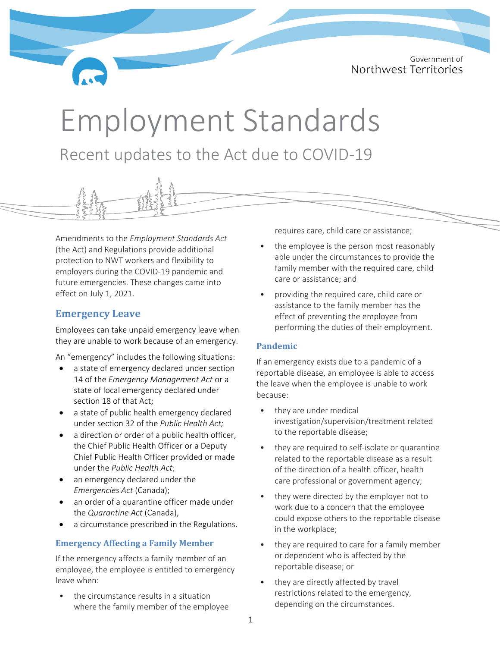Government of Northwest Territories

# Employment Standards Recent updates to the Act due to COVID-19

Amendments to the *Employment Standards Act* (the Act) and Regulations provide additional protection to NWT workers and flexibility to employers during the COVID-19 pandemic and future emergencies. These changes came into effect on July 1, 2021.

## **Emergency Leave**

Employees can take unpaid emergency leave when they are unable to work because of an emergency.

An "emergency" includes the following situations:

- a state of emergency declared under section 14 of the *Emergency Management Act* or a state of local emergency declared under section 18 of that Act;
- a state of public health emergency declared under section 32 of the *Public Health Act;*
- a direction or order of a public health officer, the Chief Public Health Officer or a Deputy Chief Public Health Officer provided or made under the *Public Health Act*;
- an emergency declared under the *Emergencies Act* (Canada);
- an order of a quarantine officer made under the *Quarantine Act* (Canada),
- a circumstance prescribed in the Regulations.

#### **Emergency Affecting a Family Member**

If the emergency affects a family member of an employee, the employee is entitled to emergency leave when:

• the circumstance results in a situation where the family member of the employee requires care, child care or assistance;

- the employee is the person most reasonably able under the circumstances to provide the family member with the required care, child care or assistance; and
- providing the required care, child care or assistance to the family member has the effect of preventing the employee from performing the duties of their employment.

#### **Pandemic**

If an emergency exists due to a pandemic of a reportable disease, an employee is able to access the leave when the employee is unable to work because:

- they are under medical investigation/supervision/treatment related to the reportable disease;
- they are required to self-isolate or quarantine related to the reportable disease as a result of the direction of a health officer, health care professional or government agency;
- they were directed by the employer not to work due to a concern that the employee could expose others to the reportable disease in the workplace;
- they are required to care for a family member or dependent who is affected by the reportable disease; or
- they are directly affected by travel restrictions related to the emergency, depending on the circumstances.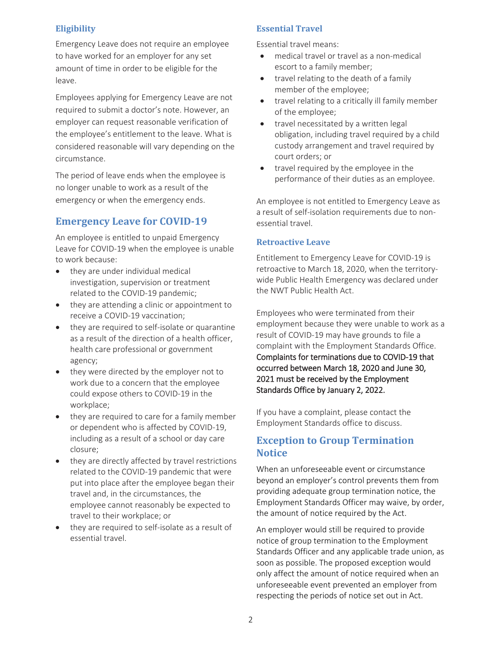#### **Eligibility**

Emergency Leave does not require an employee to have worked for an employer for any set amount of time in order to be eligible for the leave.

Employees applying for Emergency Leave are not required to submit a doctor's note. However, an employer can request reasonable verification of the employee's entitlement to the leave. What is considered reasonable will vary depending on the circumstance.

The period of leave ends when the employee is no longer unable to work as a result of the emergency or when the emergency ends.

## **Emergency Leave for COVID-19**

An employee is entitled to unpaid Emergency Leave for COVID-19 when the employee is unable to work because:

- they are under individual medical investigation, supervision or treatment related to the COVID-19 pandemic;
- they are attending a clinic or appointment to receive a COVID-19 vaccination;
- they are required to self-isolate or quarantine as a result of the direction of a health officer, health care professional or government agency;
- they were directed by the employer not to work due to a concern that the employee could expose others to COVID-19 in the workplace;
- they are required to care for a family member or dependent who is affected by COVID-19, including as a result of a school or day care closure;
- they are directly affected by travel restrictions related to the COVID-19 pandemic that were put into place after the employee began their travel and, in the circumstances, the employee cannot reasonably be expected to travel to their workplace; or
- they are required to self-isolate as a result of essential travel.

## **Essential Travel**

Essential travel means:

- medical travel or travel as a non-medical escort to a family member;
- travel relating to the death of a family member of the employee;
- travel relating to a critically ill family member of the employee;
- travel necessitated by a written legal obligation, including travel required by a child custody arrangement and travel required by court orders; or
- travel required by the employee in the performance of their duties as an employee.

An employee is not entitled to Emergency Leave as a result of self-isolation requirements due to nonessential travel.

### **Retroactive Leave**

Entitlement to Emergency Leave for COVID-19 is retroactive to March 18, 2020, when the territorywide Public Health Emergency was declared under the NWT Public Health Act.

Employees who were terminated from their employment because they were unable to work as a result of COVID-19 may have grounds to file a complaint with the Employment Standards Office. Complaints for terminations due to COVID-19 that occurred between March 18, 2020 and June 30, 2021 must be received by the Employment Standards Office by January 2, 2022.

If you have a complaint, please contact the Employment Standards office to discuss.

# **Exception to Group Termination Notice**

When an unforeseeable event or circumstance beyond an employer's control prevents them from providing adequate group termination notice, the Employment Standards Officer may waive, by order, the amount of notice required by the Act.

An employer would still be required to provide notice of group termination to the Employment Standards Officer and any applicable trade union, as soon as possible. The proposed exception would only affect the amount of notice required when an unforeseeable event prevented an employer from respecting the periods of notice set out in Act.